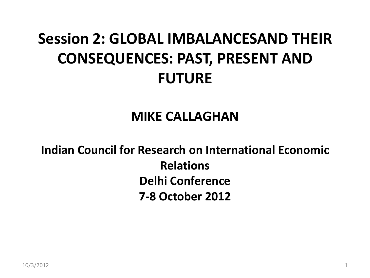## **Session 2: GLOBAL IMBALANCESAND THEIR CONSEQUENCES: PAST, PRESENT AND FUTURE**

#### **MIKE CALLAGHAN**

**Indian Council for Research on International Economic Relations Delhi Conference 7-8 October 2012**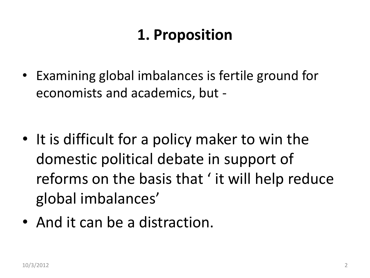## **1. Proposition**

• Examining global imbalances is fertile ground for economists and academics, but -

- It is difficult for a policy maker to win the domestic political debate in support of reforms on the basis that ' it will help reduce global imbalances'
- And it can be a distraction.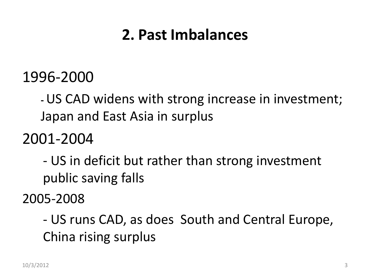#### **2. Past Imbalances**

#### 1996-2000

**-**US CAD widens with strong increase in investment; Japan and East Asia in surplus

2001-2004

- US in deficit but rather than strong investment public saving falls

2005-2008

- US runs CAD, as does South and Central Europe, China rising surplus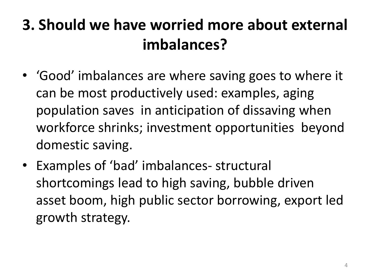## **3. Should we have worried more about external imbalances?**

- 'Good' imbalances are where saving goes to where it can be most productively used: examples, aging population saves in anticipation of dissaving when workforce shrinks; investment opportunities beyond domestic saving.
- Examples of 'bad' imbalances- structural shortcomings lead to high saving, bubble driven asset boom, high public sector borrowing, export led growth strategy.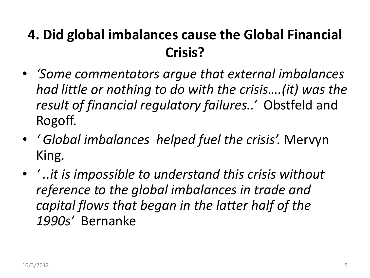#### **4. Did global imbalances cause the Global Financial Crisis?**

- *'Some commentators argue that external imbalances had little or nothing to do with the crisis….(it) was the result of financial regulatory failures..'* Obstfeld and Rogoff.
- *' Global imbalances helped fuel the crisis'.* Mervyn King.
- *' ..it is impossible to understand this crisis without reference to the global imbalances in trade and capital flows that began in the latter half of the 1990s'* Bernanke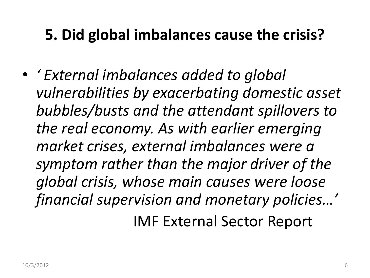## **5. Did global imbalances cause the crisis?**

• *' External imbalances added to global vulnerabilities by exacerbating domestic asset bubbles/busts and the attendant spillovers to the real economy. As with earlier emerging market crises, external imbalances were a symptom rather than the major driver of the global crisis, whose main causes were loose financial supervision and monetary policies…'* IMF External Sector Report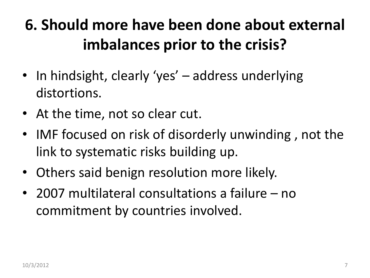## **6. Should more have been done about external imbalances prior to the crisis?**

- In hindsight, clearly 'yes' address underlying distortions.
- At the time, not so clear cut.
- IMF focused on risk of disorderly unwinding , not the link to systematic risks building up.
- Others said benign resolution more likely.
- 2007 multilateral consultations a failure no commitment by countries involved.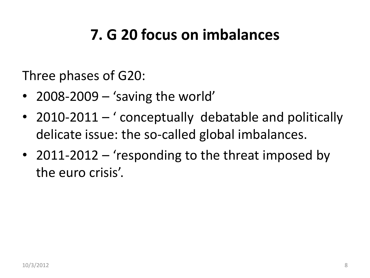## **7. G 20 focus on imbalances**

Three phases of G20:

- 2008-2009 'saving the world'
- 2010-2011 ' conceptually debatable and politically delicate issue: the so-called global imbalances.
- 2011-2012 'responding to the threat imposed by the euro crisis'.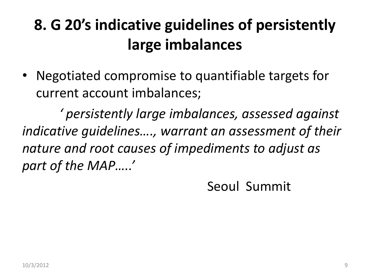## **8. G 20's indicative guidelines of persistently large imbalances**

• Negotiated compromise to quantifiable targets for current account imbalances;

*' persistently large imbalances, assessed against indicative guidelines…., warrant an assessment of their nature and root causes of impediments to adjust as part of the MAP…..'*

Seoul Summit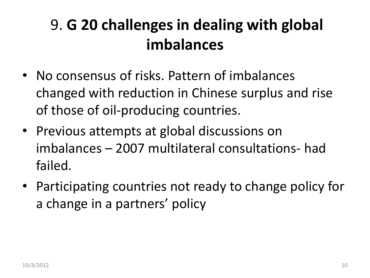## 9. **G 20 challenges in dealing with global imbalances**

- No consensus of risks. Pattern of imbalances changed with reduction in Chinese surplus and rise of those of oil-producing countries.
- Previous attempts at global discussions on imbalances – 2007 multilateral consultations- had failed.
- Participating countries not ready to change policy for a change in a partners' policy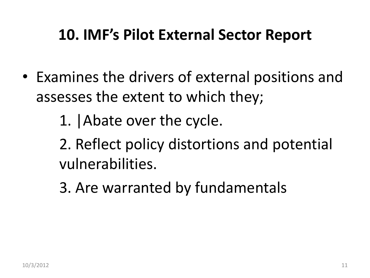#### **10. IMF's Pilot External Sector Report**

- Examines the drivers of external positions and assesses the extent to which they;
	- 1. |Abate over the cycle.
	- 2. Reflect policy distortions and potential vulnerabilities.
	- 3. Are warranted by fundamentals